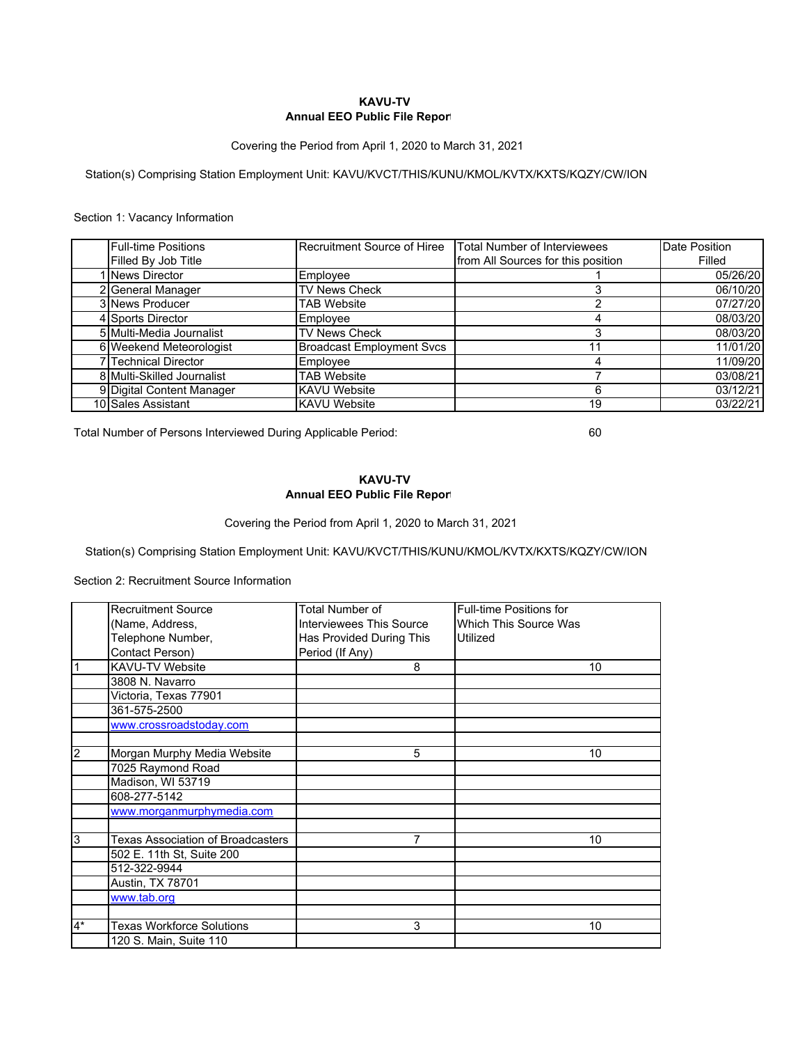## **Annual EEO Public File Report KAVU-TV**

Covering the Period from April 1, 2020 to March 31, 2021

Station(s) Comprising Station Employment Unit: KAVU/KVCT/THIS/KUNU/KMOL/KVTX/KXTS/KQZY/CW/ION

## Section 1: Vacancy Information

| <b>Full-time Positions</b>     | Recruitment Source of Hiree      | Total Number of Interviewees       | Date Position |
|--------------------------------|----------------------------------|------------------------------------|---------------|
| Filled By Job Title            |                                  | from All Sources for this position | Filled        |
| News Director                  | Employee                         |                                    | 05/26/20      |
| 2 General Manager              | <b>TV News Check</b>             |                                    | 06/10/20      |
| <b>3 News Producer</b>         | TAB Website                      |                                    | 07/27/20      |
| 4 Sports Director              | Employee                         |                                    | 08/03/20      |
| 5 Multi-Media Journalist       | <b>TV News Check</b>             |                                    | 08/03/20      |
| <b>6</b> Weekend Meteorologist | <b>Broadcast Employment Svcs</b> |                                    | 11/01/20      |
| <b>Technical Director</b>      | Employee                         |                                    | 11/09/20      |
| 8 Multi-Skilled Journalist     | <b>TAB Website</b>               |                                    | 03/08/21      |
| 9 Digital Content Manager      | <b>KAVU Website</b>              |                                    | 03/12/21      |
| 10 Sales Assistant             | <b>KAVU Website</b>              | 19                                 | 03/22/21      |

Total Number of Persons Interviewed During Applicable Period: 60

## **Annual EEO Public File Report KAVU-TV**

Covering the Period from April 1, 2020 to March 31, 2021

Station(s) Comprising Station Employment Unit: KAVU/KVCT/THIS/KUNU/KMOL/KVTX/KXTS/KQZY/CW/ION

Section 2: Recruitment Source Information

|                | <b>Recruitment Source</b>         | Total Number of                 | <b>Full-time Positions for</b> |
|----------------|-----------------------------------|---------------------------------|--------------------------------|
|                | (Name, Address,                   | <b>Interviewees This Source</b> | Which This Source Was          |
|                | Telephone Number,                 | Has Provided During This        | Utilized                       |
|                | Contact Person)                   | Period (If Any)                 |                                |
|                | <b>KAVU-TV Website</b>            | 8                               | 10                             |
|                | 3808 N. Navarro                   |                                 |                                |
|                | Victoria, Texas 77901             |                                 |                                |
|                | 361-575-2500                      |                                 |                                |
|                | www.crossroadstoday.com           |                                 |                                |
|                |                                   |                                 |                                |
| 2              | Morgan Murphy Media Website       | 5                               | 10                             |
|                | 7025 Raymond Road                 |                                 |                                |
|                | Madison, WI 53719                 |                                 |                                |
|                | 608-277-5142                      |                                 |                                |
|                | www.morganmurphymedia.com         |                                 |                                |
|                |                                   |                                 |                                |
| 3              | Texas Association of Broadcasters | 7                               | 10                             |
|                | 502 E. 11th St, Suite 200         |                                 |                                |
|                | 512-322-9944                      |                                 |                                |
|                | Austin, TX 78701                  |                                 |                                |
|                | www.tab.org                       |                                 |                                |
|                |                                   |                                 |                                |
| $\overline{4}$ | <b>Texas Workforce Solutions</b>  | 3                               | 10                             |
|                | 120 S. Main, Suite 110            |                                 |                                |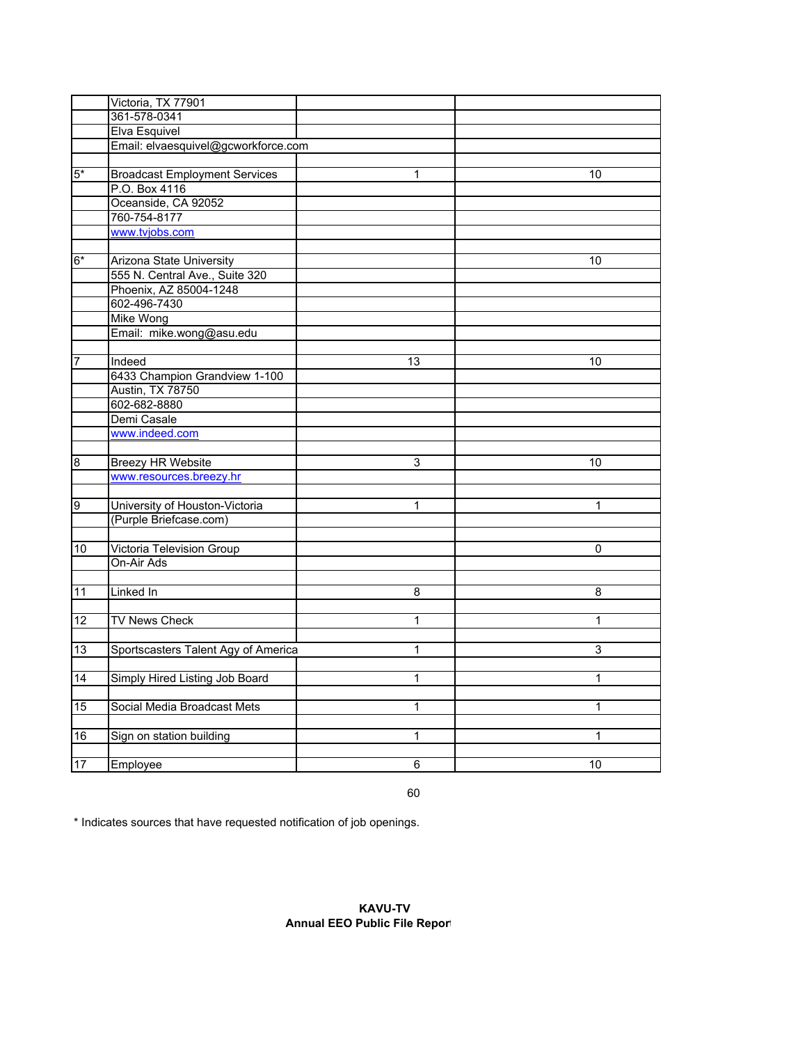|                 | Victoria, TX 77901                   |              |              |
|-----------------|--------------------------------------|--------------|--------------|
|                 | 361-578-0341                         |              |              |
|                 | Elva Esquivel                        |              |              |
|                 | Email: elvaesquivel@gcworkforce.com  |              |              |
|                 |                                      |              |              |
| $5*$            | <b>Broadcast Employment Services</b> | 1            | 10           |
|                 | P.O. Box 4116                        |              |              |
|                 | Oceanside, CA 92052                  |              |              |
|                 | 760-754-8177                         |              |              |
|                 | www.tvjobs.com                       |              |              |
|                 |                                      |              |              |
| $6*$            | Arizona State University             |              | 10           |
|                 | 555 N. Central Ave., Suite 320       |              |              |
|                 | Phoenix, AZ 85004-1248               |              |              |
|                 | 602-496-7430                         |              |              |
|                 | <b>Mike Wong</b>                     |              |              |
|                 | Email: mike.wong@asu.edu             |              |              |
|                 |                                      |              |              |
| 7               | Indeed                               | 13           | 10           |
|                 | 6433 Champion Grandview 1-100        |              |              |
|                 | Austin, TX 78750                     |              |              |
|                 | 602-682-8880                         |              |              |
|                 | Demi Casale                          |              |              |
|                 | www.indeed.com                       |              |              |
|                 |                                      |              |              |
| $\overline{8}$  | <b>Breezy HR Website</b>             | 3            | 10           |
|                 | www.resources.breezy.hr              |              |              |
|                 |                                      |              |              |
| $\overline{9}$  | University of Houston-Victoria       | 1            | 1            |
|                 | (Purple Briefcase.com)               |              |              |
|                 |                                      |              |              |
| 10              | Victoria Television Group            |              | 0            |
|                 | On-Air Ads                           |              |              |
|                 |                                      |              |              |
| 11              | Linked In                            | 8            | 8            |
|                 |                                      |              |              |
| 12              | <b>TV News Check</b>                 | 1            | $\mathbf{1}$ |
|                 |                                      |              |              |
| 13              | Sportscasters Talent Agy of America  | 1            | 3            |
|                 |                                      | 1            |              |
| $\overline{14}$ | Simply Hired Listing Job Board       |              | $\mathbf{1}$ |
|                 |                                      |              |              |
| 15              | Social Media Broadcast Mets          | 1            | $\mathbf{1}$ |
| 16              |                                      | $\mathbf{1}$ | $\mathbf{1}$ |
|                 | Sign on station building             |              |              |
| 17              | Employee                             | 6            | 10           |
|                 |                                      |              |              |

60

\* Indicates sources that have requested notification of job openings.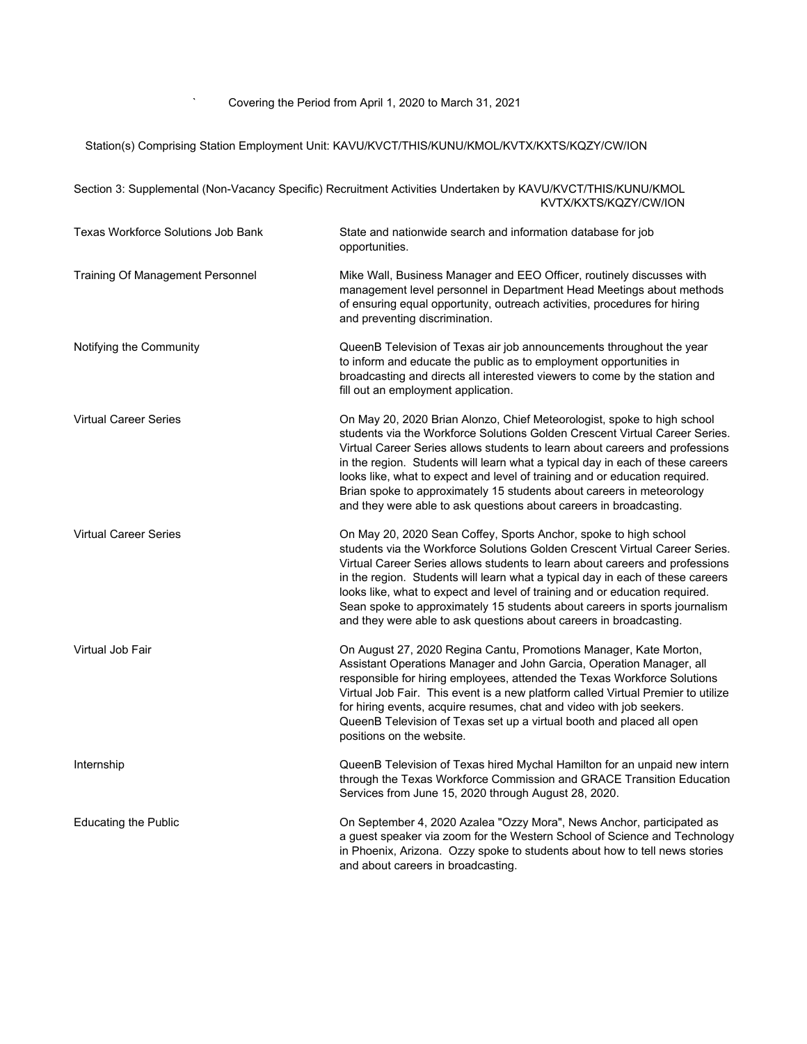## Station(s) Comprising Station Employment Unit: KAVU/KVCT/THIS/KUNU/KMOL/KVTX/KXTS/KQZY/CW/ION

Section 3: Supplemental (Non-Vacancy Specific) Recruitment Activities Undertaken by KAVU/KVCT/THIS/KUNU/KMOL

 KVTX/KXTS/KQZY/CW/ION Texas Workforce Solutions Job Bank State and nationwide search and information database for job opportunities. Training Of Management Personnel Mike Wall, Business Manager and EEO Officer, routinely discusses with management level personnel in Department Head Meetings about methods of ensuring equal opportunity, outreach activities, procedures for hiring and preventing discrimination. Notifying the Community QueenB Television of Texas air job announcements throughout the year to inform and educate the public as to employment opportunities in broadcasting and directs all interested viewers to come by the station and fill out an employment application. Virtual Career Series On May 20, 2020 Brian Alonzo, Chief Meteorologist, spoke to high school students via the Workforce Solutions Golden Crescent Virtual Career Series. Virtual Career Series allows students to learn about careers and professions in the region. Students will learn what a typical day in each of these careers looks like, what to expect and level of training and or education required. Brian spoke to approximately 15 students about careers in meteorology and they were able to ask questions about careers in broadcasting. Virtual Career Series On May 20, 2020 Sean Coffey, Sports Anchor, spoke to high school students via the Workforce Solutions Golden Crescent Virtual Career Series. Virtual Career Series allows students to learn about careers and professions in the region. Students will learn what a typical day in each of these careers looks like, what to expect and level of training and or education required. Sean spoke to approximately 15 students about careers in sports journalism and they were able to ask questions about careers in broadcasting. Virtual Job Fair On August 27, 2020 Regina Cantu, Promotions Manager, Kate Morton, Assistant Operations Manager and John Garcia, Operation Manager, all responsible for hiring employees, attended the Texas Workforce Solutions Virtual Job Fair. This event is a new platform called Virtual Premier to utilize for hiring events, acquire resumes, chat and video with job seekers. QueenB Television of Texas set up a virtual booth and placed all open positions on the website. Internship QueenB Television of Texas hired Mychal Hamilton for an unpaid new intern through the Texas Workforce Commission and GRACE Transition Education Services from June 15, 2020 through August 28, 2020. Educating the Public On September 4, 2020 Azalea "Ozzy Mora", News Anchor, participated as a guest speaker via zoom for the Western School of Science and Technology in Phoenix, Arizona. Ozzy spoke to students about how to tell news stories and about careers in broadcasting.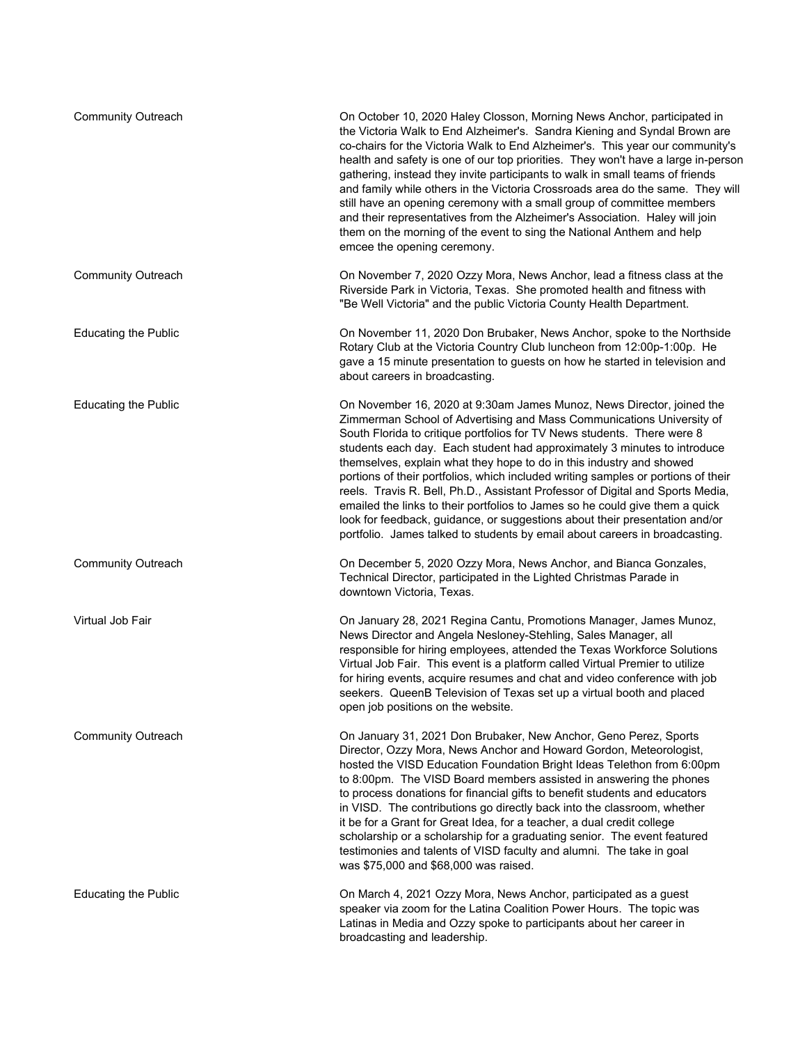| <b>Community Outreach</b>   | On October 10, 2020 Haley Closson, Morning News Anchor, participated in<br>the Victoria Walk to End Alzheimer's. Sandra Kiening and Syndal Brown are<br>co-chairs for the Victoria Walk to End Alzheimer's. This year our community's<br>health and safety is one of our top priorities. They won't have a large in-person<br>gathering, instead they invite participants to walk in small teams of friends<br>and family while others in the Victoria Crossroads area do the same. They will<br>still have an opening ceremony with a small group of committee members<br>and their representatives from the Alzheimer's Association. Haley will join<br>them on the morning of the event to sing the National Anthem and help<br>emcee the opening ceremony.                                     |
|-----------------------------|----------------------------------------------------------------------------------------------------------------------------------------------------------------------------------------------------------------------------------------------------------------------------------------------------------------------------------------------------------------------------------------------------------------------------------------------------------------------------------------------------------------------------------------------------------------------------------------------------------------------------------------------------------------------------------------------------------------------------------------------------------------------------------------------------|
| <b>Community Outreach</b>   | On November 7, 2020 Ozzy Mora, News Anchor, lead a fitness class at the<br>Riverside Park in Victoria, Texas. She promoted health and fitness with<br>"Be Well Victoria" and the public Victoria County Health Department.                                                                                                                                                                                                                                                                                                                                                                                                                                                                                                                                                                         |
| <b>Educating the Public</b> | On November 11, 2020 Don Brubaker, News Anchor, spoke to the Northside<br>Rotary Club at the Victoria Country Club luncheon from 12:00p-1:00p. He<br>gave a 15 minute presentation to guests on how he started in television and<br>about careers in broadcasting.                                                                                                                                                                                                                                                                                                                                                                                                                                                                                                                                 |
| <b>Educating the Public</b> | On November 16, 2020 at 9:30am James Munoz, News Director, joined the<br>Zimmerman School of Advertising and Mass Communications University of<br>South Florida to critique portfolios for TV News students. There were 8<br>students each day. Each student had approximately 3 minutes to introduce<br>themselves, explain what they hope to do in this industry and showed<br>portions of their portfolios, which included writing samples or portions of their<br>reels. Travis R. Bell, Ph.D., Assistant Professor of Digital and Sports Media,<br>emailed the links to their portfolios to James so he could give them a quick<br>look for feedback, guidance, or suggestions about their presentation and/or<br>portfolio. James talked to students by email about careers in broadcasting. |
| <b>Community Outreach</b>   | On December 5, 2020 Ozzy Mora, News Anchor, and Bianca Gonzales,<br>Technical Director, participated in the Lighted Christmas Parade in<br>downtown Victoria, Texas.                                                                                                                                                                                                                                                                                                                                                                                                                                                                                                                                                                                                                               |
| Virtual Job Fair            | On January 28, 2021 Regina Cantu, Promotions Manager, James Munoz,<br>News Director and Angela Nesloney-Stehling, Sales Manager, all<br>responsible for hiring employees, attended the Texas Workforce Solutions<br>Virtual Job Fair. This event is a platform called Virtual Premier to utilize<br>for hiring events, acquire resumes and chat and video conference with job<br>seekers. QueenB Television of Texas set up a virtual booth and placed<br>open job positions on the website.                                                                                                                                                                                                                                                                                                       |
| <b>Community Outreach</b>   | On January 31, 2021 Don Brubaker, New Anchor, Geno Perez, Sports<br>Director, Ozzy Mora, News Anchor and Howard Gordon, Meteorologist,<br>hosted the VISD Education Foundation Bright Ideas Telethon from 6:00pm<br>to 8:00pm. The VISD Board members assisted in answering the phones<br>to process donations for financial gifts to benefit students and educators<br>in VISD. The contributions go directly back into the classroom, whether<br>it be for a Grant for Great Idea, for a teacher, a dual credit college<br>scholarship or a scholarship for a graduating senior. The event featured<br>testimonies and talents of VISD faculty and alumni. The take in goal<br>was \$75,000 and \$68,000 was raised.                                                                             |
| <b>Educating the Public</b> | On March 4, 2021 Ozzy Mora, News Anchor, participated as a guest<br>speaker via zoom for the Latina Coalition Power Hours. The topic was<br>Latinas in Media and Ozzy spoke to participants about her career in<br>broadcasting and leadership.                                                                                                                                                                                                                                                                                                                                                                                                                                                                                                                                                    |